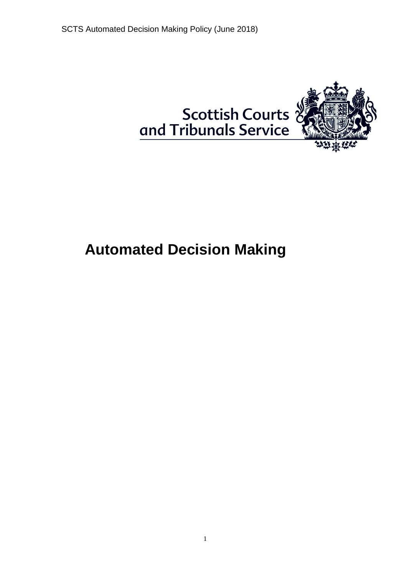

# **Automated Decision Making**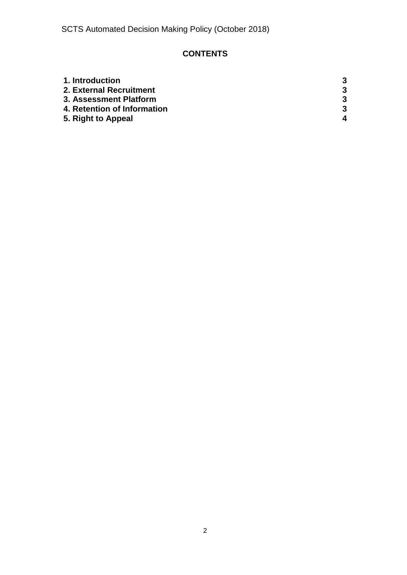## **CONTENTS**

| 1. Introduction             | 3 |
|-----------------------------|---|
| 2. External Recruitment     | 3 |
| 3. Assessment Platform      | 3 |
| 4. Retention of Information | 3 |
| 5. Right to Appeal          | 4 |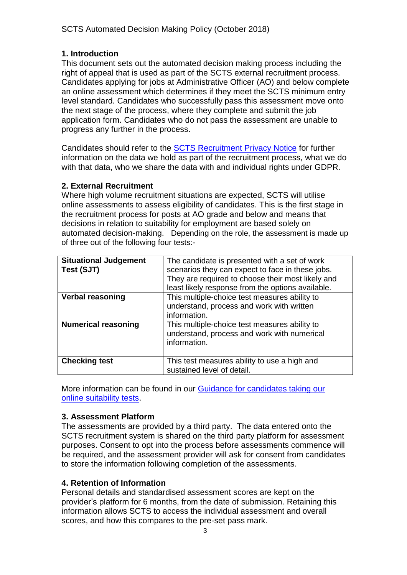### <span id="page-2-0"></span>**1. Introduction**

This document sets out the automated decision making process including the right of appeal that is used as part of the SCTS external recruitment process. Candidates applying for jobs at Administrative Officer (AO) and below complete an online assessment which determines if they meet the SCTS minimum entry level standard. Candidates who successfully pass this assessment move onto the next stage of the process, where they complete and submit the job application form. Candidates who do not pass the assessment are unable to progress any further in the process.

Candidates should refer to the [SCTS Recruitment Privacy Notice](http://www.scotcourts.gov.uk/docs/default-source/recruitment/v1-recruitment-privacy-notice-250518.pdf?sfvrsn=4) for further information on the data we hold as part of the recruitment process, what we do with that data, who we share the data with and individual rights under GDPR.

### <span id="page-2-1"></span>**2. External Recruitment**

Where high volume recruitment situations are expected, SCTS will utilise online assessments to assess eligibility of candidates. This is the first stage in the recruitment process for posts at AO grade and below and means that decisions in relation to suitability for employment are based solely on automated decision-making. Depending on the role, the assessment is made up of three out of the following four tests:-

| <b>Situational Judgement</b><br>Test (SJT) | The candidate is presented with a set of work<br>scenarios they can expect to face in these jobs.<br>They are required to choose their most likely and<br>least likely response from the options available. |
|--------------------------------------------|-------------------------------------------------------------------------------------------------------------------------------------------------------------------------------------------------------------|
| <b>Verbal reasoning</b>                    | This multiple-choice test measures ability to<br>understand, process and work with written<br>information.                                                                                                  |
| <b>Numerical reasoning</b>                 | This multiple-choice test measures ability to<br>understand, process and work with numerical<br>information.                                                                                                |
| <b>Checking test</b>                       | This test measures ability to use a high and<br>sustained level of detail.                                                                                                                                  |

More information can be found in our [Guidance for candidates taking our](http://www.scotcourts.gov.uk/docs/default-source/default-document-library/guidance-for-candidates-taking-our-online-suitability-tests.pdf?sfvrsn=0)  [online suitability tests.](http://www.scotcourts.gov.uk/docs/default-source/default-document-library/guidance-for-candidates-taking-our-online-suitability-tests.pdf?sfvrsn=0)

### <span id="page-2-2"></span>**3. Assessment Platform**

The assessments are provided by a third party. The data entered onto the SCTS recruitment system is shared on the third party platform for assessment purposes. Consent to opt into the process before assessments commence will be required, and the assessment provider will ask for consent from candidates to store the information following completion of the assessments.

### **4. Retention of Information**

Personal details and standardised assessment scores are kept on the provider's platform for 6 months, from the date of submission. Retaining this information allows SCTS to access the individual assessment and overall scores, and how this compares to the pre-set pass mark.